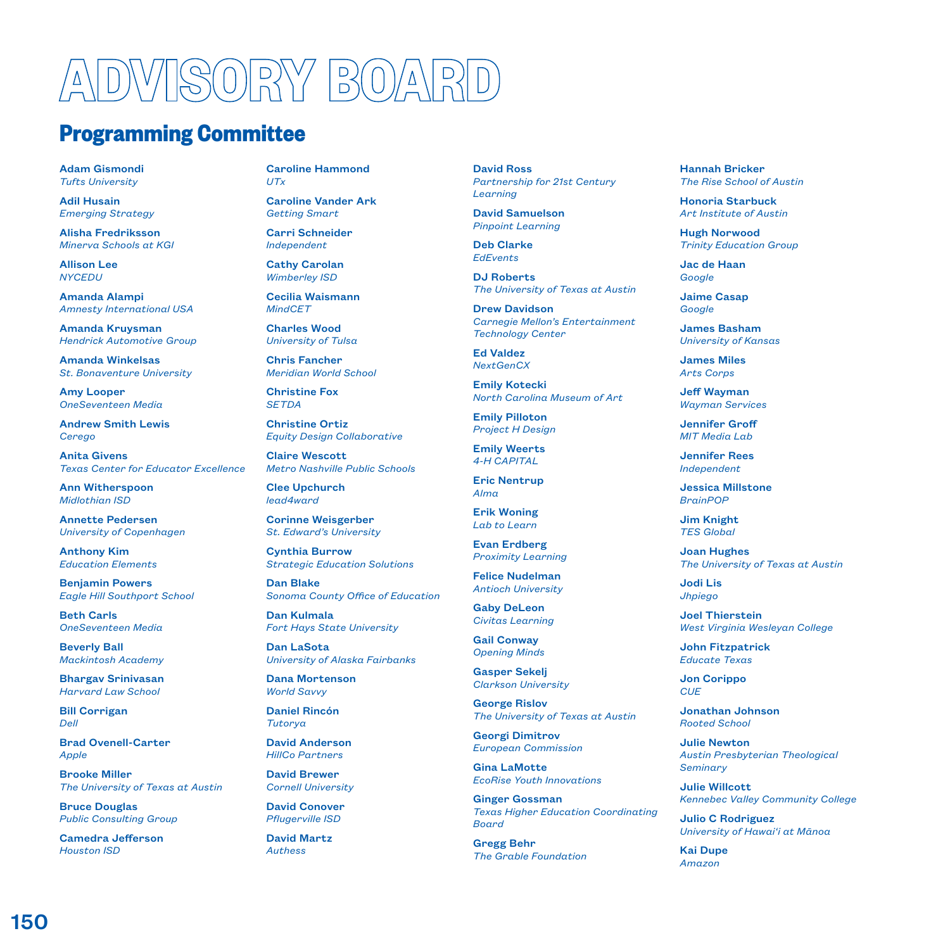## VISORY BO

## **Programming Committee**

Adam Gismondi *Tufts University*

Adil Husain *Emerging Strategy*

Alisha Fredriksson *Minerva Schools at KGI*

Allison Lee *NYCEDU*

Amanda Alampi *Amnesty International USA*

Amanda Kruysman *Hendrick Automotive Group*

Amanda Winkelsas *St. Bonaventure University*

Amy Looper *OneSeventeen Media*

Andrew Smith Lewis *Cerego*

Anita Givens *Texas Center for Educator Excellence*

Ann Witherspoon *Midlothian ISD*

Annette Pedersen *University of Copenhagen*

Anthony Kim *Education Elements*

Benjamin Powers *Eagle Hill Southport School*

Beth Carls *OneSeventeen Media*

Beverly Ball *Mackintosh Academy*

Bhargav Srinivasan *Harvard Law School*

Bill Corrigan *Dell*

Brad Ovenell-Carter *Apple*

Brooke Miller *The University of Texas at Austin* 

Bruce Douglas *Public Consulting Group*

Camedra Jefferson *Houston ISD*

Caroline Hammond *UTx*

Caroline Vander Ark *Getting Smart* 

Carri Schneider *Independent*

Cathy Carolan *Wimberley ISD*

Cecilia Waismann *MindCET*

Charles Wood *University of Tulsa*

Chris Fancher *Meridian World School*

Christine Fox *SETDA*

Christine Ortiz

Claire Wescott *Metro Nashville Public Schools*

*Equity Design Collaborative*

Clee Upchurch *lead4ward*

Corinne Weisgerber *St. Edward's University*

Cynthia Burrow *Strategic Education Solutions*

Dan Blake *Sonoma County Office of Education*

Dan Kulmala *Fort Hays State University*

Dan LaSota *University of Alaska Fairbanks*

Dana Mortenson *World Savvy*

Daniel Rincón *Tutorya*

David Anderson *HillCo Partners*

David Brewer *Cornell University*

David Conover *Pflugerville ISD*

David Martz *Authess*

David Ross *Partnership for 21st Century Learning*

David Samuelson *Pinpoint Learning*

Deb Clarke *EdEvents*

DJ Roberts *The University of Texas at Austin*

Drew Davidson *Carnegie Mellon's Entertainment Technology Center*

Ed Valdez *NextGenCX*

> Emily Kotecki *North Carolina Museum of Art*

Emily Pilloton *Project H Design*

Emily Weerts *4-H CAPITAL*

Eric Nentrup *Alma*

Erik Woning *Lab to Learn*

Evan Erdberg *Proximity Learning*

Felice Nudelman *Antioch University*

Gaby DeLeon *Civitas Learning*

Gail Conway *Opening Minds*

Gasper Sekelj *Clarkson University*

George Rislov *The University of Texas at Austin*

Georgi Dimitrov *European Commission* 

Gina LaMotte *EcoRise Youth Innovations*

Ginger Gossman *Texas Higher Education Coordinating Board*

Gregg Behr *The Grable Foundation* Hannah Bricker *The Rise School of Austin*

Honoria Starbuck *Art Institute of Austin*

Hugh Norwood *Trinity Education Group*

Jac de Haan *Google*

Jaime Casap *Google*

James Basham *University of Kansas*

James Miles *Arts Corps*

Jeff Wayman *Wayman Services*

Jennifer Groff *MIT Media Lab*

Jennifer Rees *Independent*

Jessica Millstone *BrainPOP*

Jim Knight *TES Global*

Joan Hughes *The University of Texas at Austin*

Jodi Lis *Jhpiego*

Joel Thierstein *West Virginia Wesleyan College*

John Fitzpatrick *Educate Texas*

Jon Corippo *CUE*

Jonathan Johnson *Rooted School*

Julie Newton *Austin Presbyterian Theological Seminary*

Julie Willcott *Kennebec Valley Community College* 

Julio C Rodriguez *University of Hawai'i at Mānoa*

Kai Dupe *Amazon*